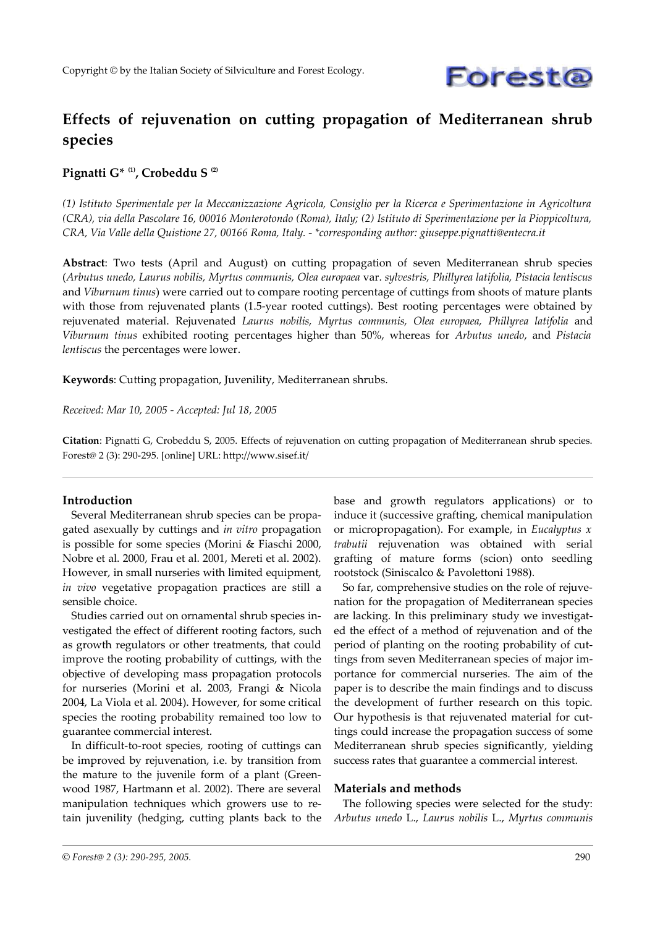

# **Effects of rejuvenation on cutting propagation of Mediterranean shrub species**

## **Pignatti G\* (1), Crobeddu S (2)**

*(1) Istituto Sperimentale per la Meccanizzazione Agricola, Consiglio per la Ricerca e Sperimentazione in Agricoltura (CRA), via della Pascolare 16, 00016 Monterotondo (Roma), Italy; (2) Istituto di Sperimentazione per la Pioppicoltura, CRA, Via Valle della Quistione 27, 00166 Roma, Italy. - \*corresponding author: giuseppe.pignatti@entecra.it*

**Abstract**: Two tests (April and August) on cutting propagation of seven Mediterranean shrub species (*Arbutus unedo, Laurus nobilis, Myrtus communis, Olea europaea* var. *sylvestris, Phillyrea latifolia, Pistacia lentiscus* and *Viburnum tinus*) were carried out to compare rooting percentage of cuttings from shoots of mature plants with those from rejuvenated plants (1.5-year rooted cuttings). Best rooting percentages were obtained by rejuvenated material. Rejuvenated *Laurus nobilis, Myrtus communis, Olea europaea, Phillyrea latifolia* and *Viburnum tinus* exhibited rooting percentages higher than 50%, whereas for *Arbutus unedo*, and *Pistacia lentiscus* the percentages were lower.

**Keywords**: Cutting propagation, Juvenility, Mediterranean shrubs.

*Received: Mar 10, 2005 - Accepted: Jul 18, 2005*

**Citation**: Pignatti G, Crobeddu S, 2005. Effects of rejuvenation on cutting propagation of Mediterranean shrub species. Forest@ 2 (3): 290-295. [online] URL: http://www.sisef.it/

#### **Introduction**

Several Mediterranean shrub species can be propagated asexually by cuttings and *in vitro* propagation is possible for some species (Morini & Fiaschi 2000, Nobre et al. 2000, Frau et al. 2001, Mereti et al. 2002). However, in small nurseries with limited equipment, *in vivo* vegetative propagation practices are still a sensible choice.

Studies carried out on ornamental shrub species investigated the effect of different rooting factors, such as growth regulators or other treatments, that could improve the rooting probability of cuttings, with the objective of developing mass propagation protocols for nurseries (Morini et al. 2003, Frangi & Nicola 2004, La Viola et al. 2004). However, for some critical species the rooting probability remained too low to guarantee commercial interest.

In difficult-to-root species, rooting of cuttings can be improved by rejuvenation, i.e. by transition from the mature to the juvenile form of a plant (Greenwood 1987, Hartmann et al. 2002). There are several manipulation techniques which growers use to retain juvenility (hedging, cutting plants back to the base and growth regulators applications) or to induce it (successive grafting, chemical manipulation or micropropagation). For example, in *Eucalyptus x trabutii* rejuvenation was obtained with serial grafting of mature forms (scion) onto seedling rootstock (Siniscalco & Pavolettoni 1988).

So far, comprehensive studies on the role of rejuvenation for the propagation of Mediterranean species are lacking. In this preliminary study we investigated the effect of a method of rejuvenation and of the period of planting on the rooting probability of cuttings from seven Mediterranean species of major importance for commercial nurseries. The aim of the paper is to describe the main findings and to discuss the development of further research on this topic. Our hypothesis is that rejuvenated material for cuttings could increase the propagation success of some Mediterranean shrub species significantly, yielding success rates that guarantee a commercial interest.

## **Materials and methods**

The following species were selected for the study: *Arbutus unedo* L., *Laurus nobilis* L., *Myrtus communis*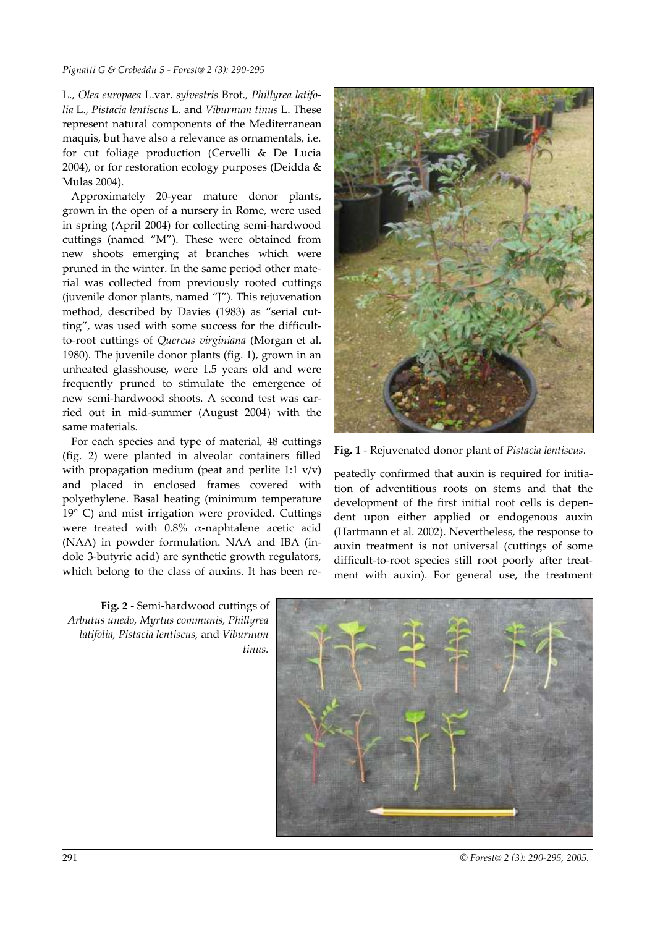#### *Pignatti G & Crobeddu S - Forest@ 2 (3): 290-295*

L., *Olea europaea* L.var. *sylvestris* Brot.*, Phillyrea latifolia* L., *Pistacia lentiscus* L. and *Viburnum tinus* L. These represent natural components of the Mediterranean maquis, but have also a relevance as ornamentals, i.e. for cut foliage production (Cervelli & De Lucia 2004), or for restoration ecology purposes (Deidda & Mulas 2004).

Approximately 20-year mature donor plants, grown in the open of a nursery in Rome, were used in spring (April 2004) for collecting semi-hardwood cuttings (named "M"). These were obtained from new shoots emerging at branches which were pruned in the winter. In the same period other material was collected from previously rooted cuttings (juvenile donor plants, named "J"). This rejuvenation method, described by Davies (1983) as "serial cutting", was used with some success for the difficultto-root cuttings of *Quercus virginiana* (Morgan et al. 1980). The juvenile donor plants (fig. 1), grown in an unheated glasshouse, were 1.5 years old and were frequently pruned to stimulate the emergence of new semi-hardwood shoots. A second test was carried out in mid-summer (August 2004) with the same materials.

For each species and type of material, 48 cuttings (fig. 2) were planted in alveolar containers filled with propagation medium (peat and perlite 1:1 v/v) and placed in enclosed frames covered with polyethylene. Basal heating (minimum temperature 19° C) and mist irrigation were provided. Cuttings were treated with 0.8% α-naphtalene acetic acid (NAA) in powder formulation. NAA and IBA (indole 3-butyric acid) are synthetic growth regulators, which belong to the class of auxins. It has been re-

**Fig. 1** - Rejuvenated donor plant of *Pistacia lentiscus*.

peatedly confirmed that auxin is required for initiation of adventitious roots on stems and that the development of the first initial root cells is dependent upon either applied or endogenous auxin (Hartmann et al. 2002). Nevertheless, the response to auxin treatment is not universal (cuttings of some difficult-to-root species still root poorly after treatment with auxin). For general use, the treatment

**Fig. 2** - Semi-hardwood cuttings of *Arbutus unedo, Myrtus communis, Phillyrea latifolia, Pistacia lentiscus,* and *Viburnum tinus.*



291 *© Forest@ 2 (3): 290-295, 2005.*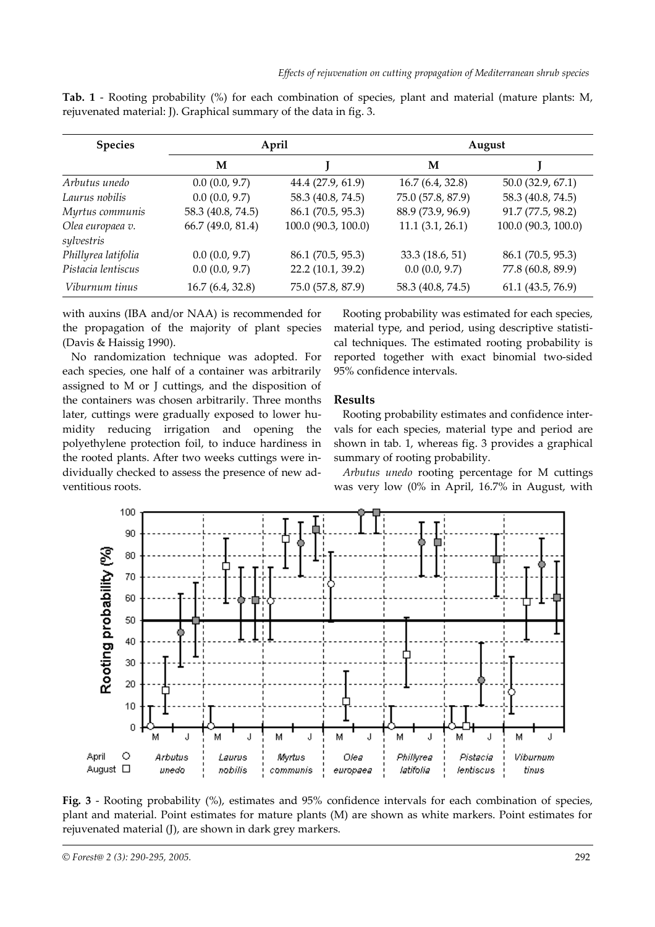| <b>Species</b>                 | April             |                     | August            |                     |
|--------------------------------|-------------------|---------------------|-------------------|---------------------|
|                                | М                 |                     | M                 |                     |
| Arbutus unedo                  | 0.0(0.0, 9.7)     | 44.4 (27.9, 61.9)   | 16.7(6.4, 32.8)   | 50.0(32.9, 67.1)    |
| Laurus nobilis                 | 0.0(0.0, 9.7)     | 58.3 (40.8, 74.5)   | 75.0 (57.8, 87.9) | 58.3 (40.8, 74.5)   |
| Myrtus communis                | 58.3 (40.8, 74.5) | 86.1 (70.5, 95.3)   | 88.9 (73.9, 96.9) | 91.7 (77.5, 98.2)   |
| Olea europaea v.<br>sylvestris | 66.7 (49.0, 81.4) | 100.0 (90.3, 100.0) | 11.1(3.1, 26.1)   | 100.0 (90.3, 100.0) |
| Phillyrea latifolia            | 0.0(0.0, 9.7)     | 86.1 (70.5, 95.3)   | 33.3 (18.6, 51)   | 86.1 (70.5, 95.3)   |
| Pistacia lentiscus             | 0.0(0.0, 9.7)     | 22.2 (10.1, 39.2)   | 0.0(0.0, 9.7)     | 77.8 (60.8, 89.9)   |
| Viburnum tinus                 | 16.7(6.4, 32.8)   | 75.0 (57.8, 87.9)   | 58.3 (40.8, 74.5) | 61.1(43.5, 76.9)    |

**Tab. 1** - Rooting probability (%) for each combination of species, plant and material (mature plants: M, rejuvenated material: J). Graphical summary of the data in fig. 3.

with auxins (IBA and/or NAA) is recommended for the propagation of the majority of plant species (Davis & Haissig 1990).

No randomization technique was adopted. For each species, one half of a container was arbitrarily assigned to M or J cuttings, and the disposition of the containers was chosen arbitrarily. Three months later, cuttings were gradually exposed to lower humidity reducing irrigation and opening the polyethylene protection foil, to induce hardiness in the rooted plants. After two weeks cuttings were individually checked to assess the presence of new adventitious roots.

Rooting probability was estimated for each species, material type, and period, using descriptive statistical techniques. The estimated rooting probability is reported together with exact binomial two-sided 95% confidence intervals.

# **Results**

Rooting probability estimates and confidence intervals for each species, material type and period are shown in tab. 1, whereas fig. 3 provides a graphical summary of rooting probability.

*Arbutus unedo* rooting percentage for M cuttings was very low (0% in April, 16.7% in August, with



**Fig. 3** - Rooting probability (%), estimates and 95% confidence intervals for each combination of species, plant and material. Point estimates for mature plants (M) are shown as white markers. Point estimates for rejuvenated material (J), are shown in dark grey markers.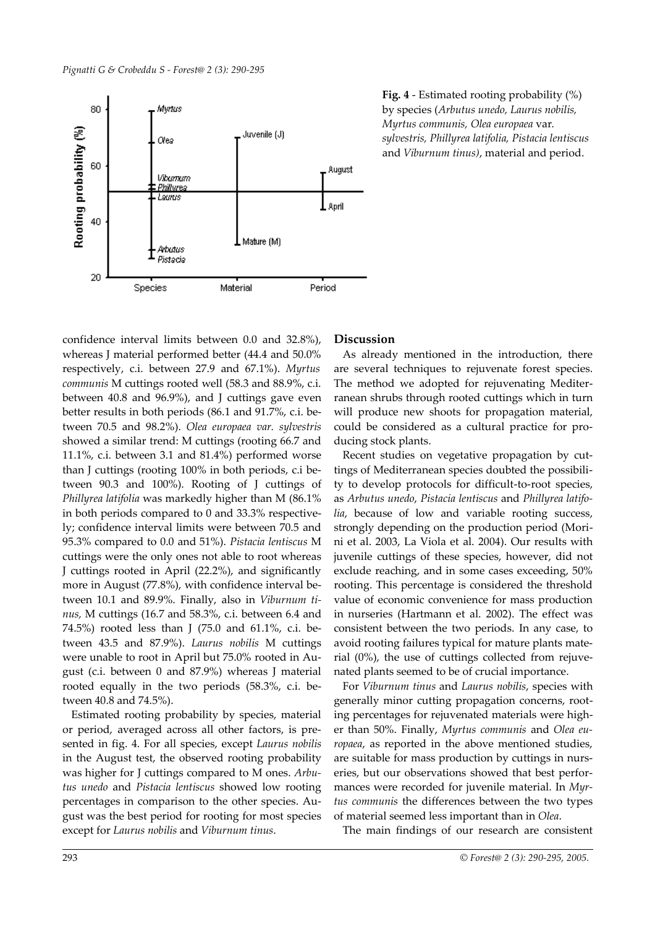

**Fig. 4** - Estimated rooting probability (%) by species (*Arbutus unedo, Laurus nobilis, Myrtus communis, Olea europaea* var*. sylvestris, Phillyrea latifolia, Pistacia lentiscus* and *Viburnum tinus)*, material and period.

confidence interval limits between 0.0 and 32.8%), whereas J material performed better (44.4 and 50.0% respectively, c.i. between 27.9 and 67.1%). *Myrtus communis* M cuttings rooted well (58.3 and 88.9%, c.i. between 40.8 and 96.9%), and J cuttings gave even better results in both periods (86.1 and 91.7%, c.i. between 70.5 and 98.2%). *Olea europaea var. sylvestris* showed a similar trend: M cuttings (rooting 66.7 and 11.1%, c.i. between 3.1 and 81.4%) performed worse than J cuttings (rooting 100% in both periods, c.i between 90.3 and 100%). Rooting of J cuttings of *Phillyrea latifolia* was markedly higher than M (86.1% in both periods compared to 0 and 33.3% respectively; confidence interval limits were between 70.5 and 95.3% compared to 0.0 and 51%). *Pistacia lentiscus* M cuttings were the only ones not able to root whereas J cuttings rooted in April (22.2%), and significantly more in August (77.8%), with confidence interval between 10.1 and 89.9%. Finally, also in *Viburnum tinus,* M cuttings (16.7 and 58.3%, c.i. between 6.4 and 74.5%) rooted less than J (75.0 and 61.1%, c.i. between 43.5 and 87.9%). *Laurus nobilis* M cuttings were unable to root in April but 75.0% rooted in August (c.i. between 0 and 87.9%) whereas J material rooted equally in the two periods (58.3%, c.i. between 40.8 and 74.5%).

Estimated rooting probability by species, material or period, averaged across all other factors, is presented in fig. 4. For all species, except *Laurus nobilis* in the August test, the observed rooting probability was higher for J cuttings compared to M ones. *Arbutus unedo* and *Pistacia lentiscus* showed low rooting percentages in comparison to the other species. August was the best period for rooting for most species except for *Laurus nobilis* and *Viburnum tinus*.

## **Discussion**

As already mentioned in the introduction, there are several techniques to rejuvenate forest species. The method we adopted for rejuvenating Mediterranean shrubs through rooted cuttings which in turn will produce new shoots for propagation material, could be considered as a cultural practice for producing stock plants.

Recent studies on vegetative propagation by cuttings of Mediterranean species doubted the possibility to develop protocols for difficult-to-root species, as *Arbutus unedo*, *Pistacia lentiscus* and *Phillyrea latifolia*, because of low and variable rooting success, strongly depending on the production period (Morini et al. 2003, La Viola et al. 2004). Our results with juvenile cuttings of these species, however, did not exclude reaching, and in some cases exceeding, 50% rooting. This percentage is considered the threshold value of economic convenience for mass production in nurseries (Hartmann et al. 2002). The effect was consistent between the two periods. In any case, to avoid rooting failures typical for mature plants material (0%), the use of cuttings collected from rejuvenated plants seemed to be of crucial importance.

For *Viburnum tinus* and *Laurus nobilis*, species with generally minor cutting propagation concerns, rooting percentages for rejuvenated materials were higher than 50%. Finally, *Myrtus communis* and *Olea europaea*, as reported in the above mentioned studies, are suitable for mass production by cuttings in nurseries, but our observations showed that best performances were recorded for juvenile material. In *Myrtus communis* the differences between the two types of material seemed less important than in *Olea*.

The main findings of our research are consistent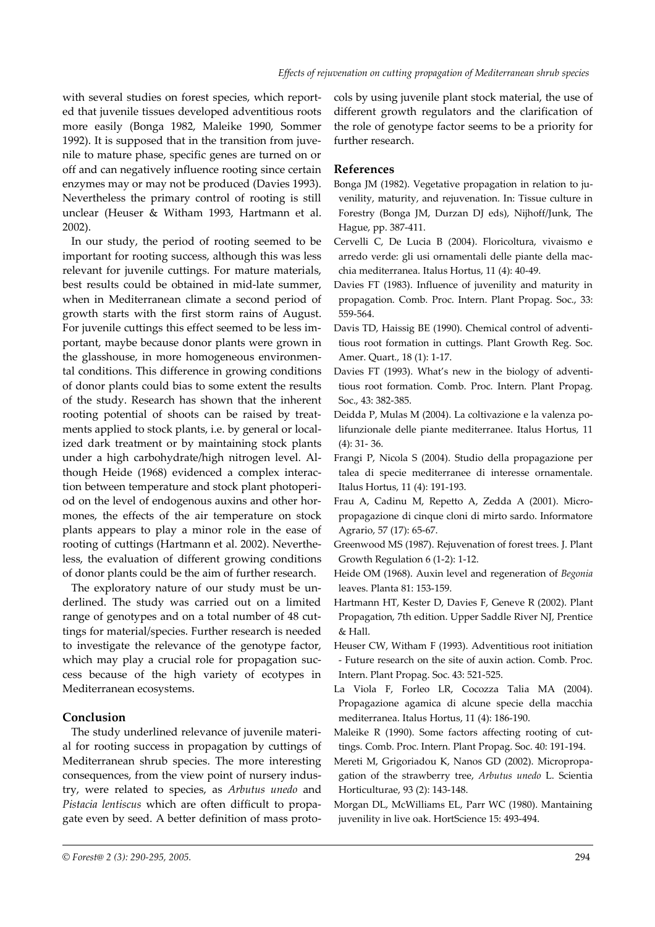with several studies on forest species, which reported that juvenile tissues developed adventitious roots more easily (Bonga 1982, Maleike 1990, Sommer 1992). It is supposed that in the transition from juvenile to mature phase, specific genes are turned on or off and can negatively influence rooting since certain enzymes may or may not be produced (Davies 1993). Nevertheless the primary control of rooting is still unclear (Heuser & Witham 1993, Hartmann et al. 2002).

In our study, the period of rooting seemed to be important for rooting success, although this was less relevant for juvenile cuttings. For mature materials, best results could be obtained in mid-late summer, when in Mediterranean climate a second period of growth starts with the first storm rains of August. For juvenile cuttings this effect seemed to be less important, maybe because donor plants were grown in the glasshouse, in more homogeneous environmental conditions. This difference in growing conditions of donor plants could bias to some extent the results of the study. Research has shown that the inherent rooting potential of shoots can be raised by treatments applied to stock plants, i.e. by general or localized dark treatment or by maintaining stock plants under a high carbohydrate/high nitrogen level. Although Heide (1968) evidenced a complex interaction between temperature and stock plant photoperiod on the level of endogenous auxins and other hormones, the effects of the air temperature on stock plants appears to play a minor role in the ease of rooting of cuttings (Hartmann et al. 2002). Nevertheless, the evaluation of different growing conditions of donor plants could be the aim of further research.

The exploratory nature of our study must be underlined. The study was carried out on a limited range of genotypes and on a total number of 48 cuttings for material/species. Further research is needed to investigate the relevance of the genotype factor, which may play a crucial role for propagation success because of the high variety of ecotypes in Mediterranean ecosystems.

## **Conclusion**

The study underlined relevance of juvenile material for rooting success in propagation by cuttings of Mediterranean shrub species. The more interesting consequences, from the view point of nursery industry, were related to species, as *Arbutus unedo* and *Pistacia lentiscus* which are often difficult to propagate even by seed. A better definition of mass protocols by using juvenile plant stock material, the use of different growth regulators and the clarification of the role of genotype factor seems to be a priority for further research.

## **References**

- Bonga JM (1982). Vegetative propagation in relation to juvenility, maturity, and rejuvenation. In: Tissue culture in Forestry (Bonga JM, Durzan DJ eds), Nijhoff/Junk, The Hague, pp. 387-411.
- Cervelli C, De Lucia B (2004). Floricoltura, vivaismo e arredo verde: gli usi ornamentali delle piante della macchia mediterranea. Italus Hortus, 11 (4): 40-49.
- Davies FT (1983). Influence of juvenility and maturity in propagation. Comb. Proc. Intern. Plant Propag. Soc., 33: 559-564.
- Davis TD, Haissig BE (1990). Chemical control of adventitious root formation in cuttings. Plant Growth Reg. Soc. Amer. Quart., 18 (1): 1-17.
- Davies FT (1993). What's new in the biology of adventitious root formation. Comb. Proc. Intern. Plant Propag. Soc., 43: 382-385.
- Deidda P, Mulas M (2004). La coltivazione e la valenza polifunzionale delle piante mediterranee. Italus Hortus, 11 (4): 31- 36.
- Frangi P, Nicola S (2004). Studio della propagazione per talea di specie mediterranee di interesse ornamentale. Italus Hortus, 11 (4): 191-193.
- Frau A, Cadinu M, Repetto A, Zedda A (2001). Micropropagazione di cinque cloni di mirto sardo. Informatore Agrario, 57 (17): 65-67.
- Greenwood MS (1987). Rejuvenation of forest trees. J. Plant Growth Regulation 6 (1-2): 1-12.
- Heide OM (1968). Auxin level and regeneration of *Begonia* leaves. Planta 81: 153-159.
- Hartmann HT, Kester D, Davies F, Geneve R (2002). Plant Propagation, 7th edition. Upper Saddle River NJ, Prentice & Hall.
- Heuser CW, Witham F (1993). Adventitious root initiation - Future research on the site of auxin action. Comb. Proc. Intern. Plant Propag. Soc. 43: 521-525.
- La Viola F, Forleo LR, Cocozza Talia MA (2004). Propagazione agamica di alcune specie della macchia mediterranea. Italus Hortus, 11 (4): 186-190.
- Maleike R (1990). Some factors affecting rooting of cuttings. Comb. Proc. Intern. Plant Propag. Soc. 40: 191-194.
- Mereti M, Grigoriadou K, Nanos GD (2002). Micropropagation of the strawberry tree, *Arbutus unedo* L. Scientia Horticulturae, 93 (2): 143-148.
- Morgan DL, McWilliams EL, Parr WC (1980). Mantaining juvenility in live oak. HortScience 15: 493-494.